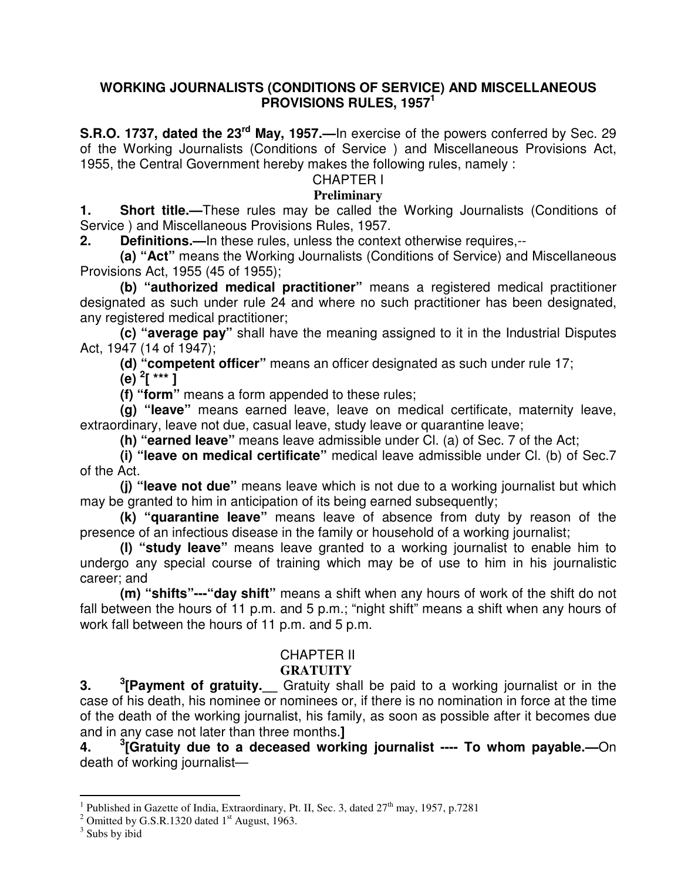#### **WORKING JOURNALISTS (CONDITIONS OF SERVICE) AND MISCELLANEOUS PROVISIONS RULES, 1957<sup>1</sup>**

**S.R.O. 1737, dated the 23rd May, 1957.—**In exercise of the powers conferred by Sec. 29 of the Working Journalists (Conditions of Service ) and Miscellaneous Provisions Act, 1955, the Central Government hereby makes the following rules, namely :

#### CHAPTER I

#### **Preliminary**

**1. Short title.—**These rules may be called the Working Journalists (Conditions of Service ) and Miscellaneous Provisions Rules, 1957.

**2. Definitions.—**In these rules, unless the context otherwise requires,--

 **(a) "Act"** means the Working Journalists (Conditions of Service) and Miscellaneous Provisions Act, 1955 (45 of 1955);

 **(b) "authorized medical practitioner"** means a registered medical practitioner designated as such under rule 24 and where no such practitioner has been designated, any registered medical practitioner;

**(c) "average pay"** shall have the meaning assigned to it in the Industrial Disputes Act, 1947 (14 of 1947);

**(d) "competent officer"** means an officer designated as such under rule 17;

**(e) <sup>2</sup> [ \*\*\* ]** 

**(f) "form"** means a form appended to these rules;

**(g) "leave"** means earned leave, leave on medical certificate, maternity leave, extraordinary, leave not due, casual leave, study leave or quarantine leave;

**(h) "earned leave"** means leave admissible under Cl. (a) of Sec. 7 of the Act;

**(i) "leave on medical certificate"** medical leave admissible under Cl. (b) of Sec.7 of the Act.

 **(j) "leave not due"** means leave which is not due to a working journalist but which may be granted to him in anticipation of its being earned subsequently;

**(k) "quarantine leave"** means leave of absence from duty by reason of the presence of an infectious disease in the family or household of a working journalist;

**(l) "study leave"** means leave granted to a working journalist to enable him to undergo any special course of training which may be of use to him in his journalistic career; and

**(m) "shifts"---"day shift"** means a shift when any hours of work of the shift do not fall between the hours of 11 p.m. and 5 p.m.; "night shift" means a shift when any hours of work fall between the hours of 11 p.m. and 5 p.m.

#### CHAPTER II

#### **GRATUITY**

**3. <sup>3</sup>** <sup>3</sup> [Payment of gratuity. Gratuity shall be paid to a working journalist or in the case of his death, his nominee or nominees or, if there is no nomination in force at the time of the death of the working journalist, his family, as soon as possible after it becomes due and in any case not later than three months.**]**

 $\boldsymbol{4}$ . **[Gratuity due to a deceased working journalist ---- To whom payable.—**On death of working journalist—

<sup>&</sup>lt;sup>1</sup> Published in Gazette of India, Extraordinary, Pt. II, Sec. 3, dated 27<sup>th</sup> may, 1957, p.7281

<sup>&</sup>lt;sup>2</sup> Omitted by G.S.R.1320 dated  $1<sup>st</sup>$  August, 1963.

<sup>&</sup>lt;sup>3</sup> Subs by ibid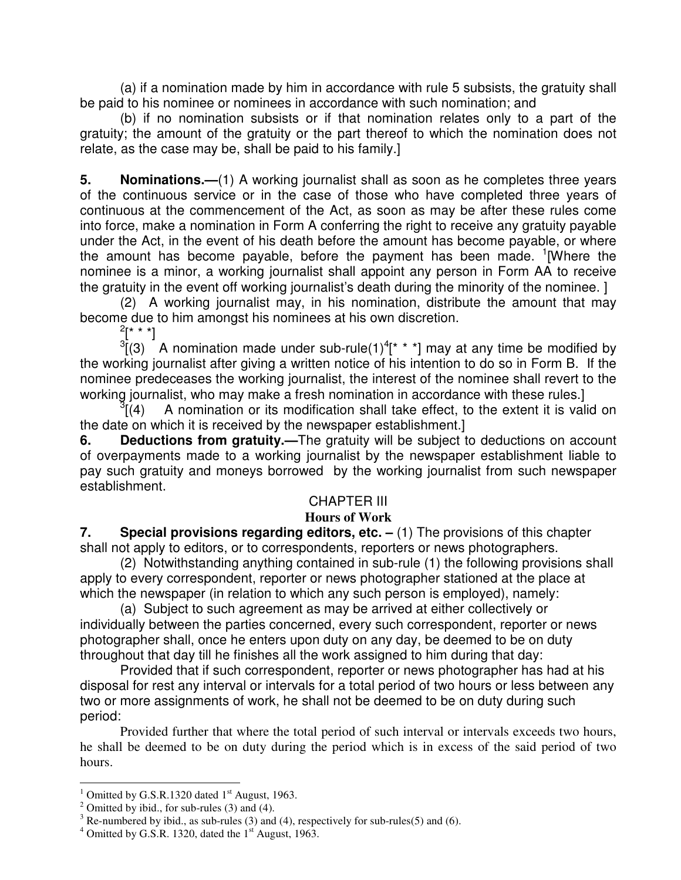(a) if a nomination made by him in accordance with rule 5 subsists, the gratuity shall be paid to his nominee or nominees in accordance with such nomination; and

 (b) if no nomination subsists or if that nomination relates only to a part of the gratuity; the amount of the gratuity or the part thereof to which the nomination does not relate, as the case may be, shall be paid to his family.]

**5. Nominations.—**(1) A working journalist shall as soon as he completes three years of the continuous service or in the case of those who have completed three years of continuous at the commencement of the Act, as soon as may be after these rules come into force, make a nomination in Form A conferring the right to receive any gratuity payable under the Act, in the event of his death before the amount has become payable, or where the amount has become payable, before the payment has been made. <sup>1</sup>[Where the nominee is a minor, a working journalist shall appoint any person in Form AA to receive the gratuity in the event off working journalist's death during the minority of the nominee. ]

(2) A working journalist may, in his nomination, distribute the amount that may become due to him amongst his nominees at his own discretion.

 $\frac{2[x * *]}{(3)}$  A nomination made under sub-rule(1)<sup>4</sup>[\* \* \*] may at any time be modified by the working journalist after giving a written notice of his intention to do so in Form B. If the nominee predeceases the working journalist, the interest of the nominee shall revert to the working journalist, who may make a fresh nomination in accordance with these rules.]

 $\sqrt[3]{(4)}$ A nomination or its modification shall take effect, to the extent it is valid on the date on which it is received by the newspaper establishment.]

**6. Deductions from gratuity.—**The gratuity will be subject to deductions on account of overpayments made to a working journalist by the newspaper establishment liable to pay such gratuity and moneys borrowed by the working journalist from such newspaper establishment.

#### CHAPTER III

#### **Hours of Work**

**7.** Special provisions regarding editors, etc. – (1) The provisions of this chapter shall not apply to editors, or to correspondents, reporters or news photographers.

 (2) Notwithstanding anything contained in sub-rule (1) the following provisions shall apply to every correspondent, reporter or news photographer stationed at the place at which the newspaper (in relation to which any such person is employed), namely:

 (a) Subject to such agreement as may be arrived at either collectively or individually between the parties concerned, every such correspondent, reporter or news photographer shall, once he enters upon duty on any day, be deemed to be on duty throughout that day till he finishes all the work assigned to him during that day:

 Provided that if such correspondent, reporter or news photographer has had at his disposal for rest any interval or intervals for a total period of two hours or less between any two or more assignments of work, he shall not be deemed to be on duty during such period:

 Provided further that where the total period of such interval or intervals exceeds two hours, he shall be deemed to be on duty during the period which is in excess of the said period of two hours.

<sup>&</sup>lt;sup>1</sup> Omitted by G.S.R.1320 dated 1<sup>st</sup> August, 1963.

<sup>&</sup>lt;sup>2</sup> Omitted by ibid., for sub-rules  $(3)$  and  $(4)$ .

 $3$  Re-numbered by ibid., as sub-rules (3) and (4), respectively for sub-rules(5) and (6).

 $4$  Omitted by G.S.R. 1320, dated the  $1<sup>st</sup>$  August, 1963.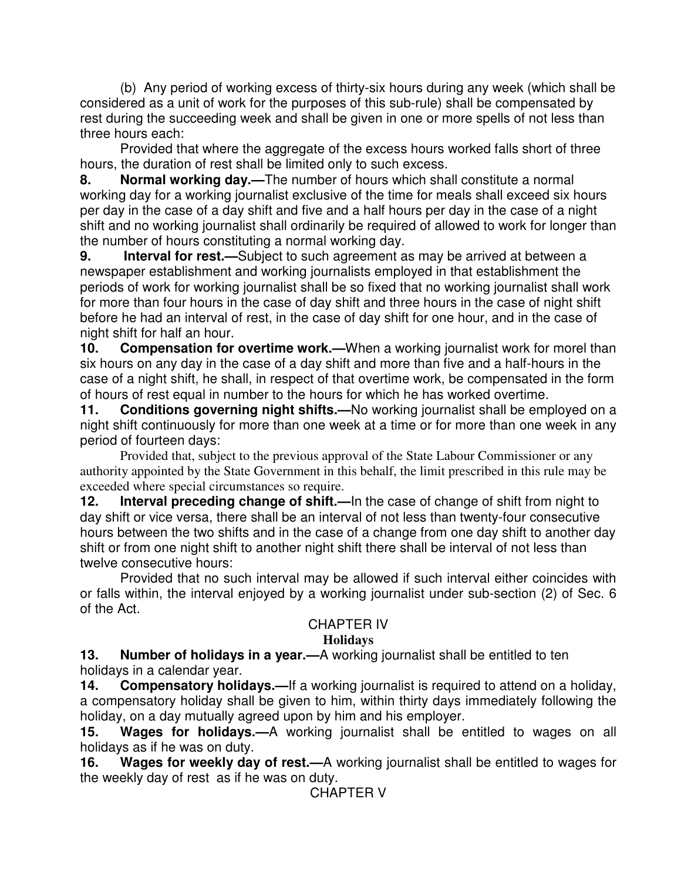(b) Any period of working excess of thirty-six hours during any week (which shall be considered as a unit of work for the purposes of this sub-rule) shall be compensated by rest during the succeeding week and shall be given in one or more spells of not less than three hours each:

 Provided that where the aggregate of the excess hours worked falls short of three hours, the duration of rest shall be limited only to such excess.

**8. Normal working day.—**The number of hours which shall constitute a normal working day for a working journalist exclusive of the time for meals shall exceed six hours per day in the case of a day shift and five and a half hours per day in the case of a night shift and no working journalist shall ordinarily be required of allowed to work for longer than the number of hours constituting a normal working day.

**9. Interval for rest.—**Subject to such agreement as may be arrived at between a newspaper establishment and working journalists employed in that establishment the periods of work for working journalist shall be so fixed that no working journalist shall work for more than four hours in the case of day shift and three hours in the case of night shift before he had an interval of rest, in the case of day shift for one hour, and in the case of night shift for half an hour.

**10.** Compensation for overtime work.—When a working journalist work for morel than six hours on any day in the case of a day shift and more than five and a half-hours in the case of a night shift, he shall, in respect of that overtime work, be compensated in the form of hours of rest equal in number to the hours for which he has worked overtime.

**11. Conditions governing night shifts.—**No working journalist shall be employed on a night shift continuously for more than one week at a time or for more than one week in any period of fourteen days:

Provided that, subject to the previous approval of the State Labour Commissioner or any authority appointed by the State Government in this behalf, the limit prescribed in this rule may be exceeded where special circumstances so require.

**12.** Interval preceding change of shift.—In the case of change of shift from night to day shift or vice versa, there shall be an interval of not less than twenty-four consecutive hours between the two shifts and in the case of a change from one day shift to another day shift or from one night shift to another night shift there shall be interval of not less than twelve consecutive hours:

Provided that no such interval may be allowed if such interval either coincides with or falls within, the interval enjoyed by a working journalist under sub-section (2) of Sec. 6 of the Act.

#### CHAPTER IV

#### **Holidays**

**13. Number of holidays in a year.—**A working journalist shall be entitled to ten holidays in a calendar year.

**14. Compensatory holidays.—**If a working journalist is required to attend on a holiday, a compensatory holiday shall be given to him, within thirty days immediately following the holiday, on a day mutually agreed upon by him and his employer.

**15. Wages for holidays.—**A working journalist shall be entitled to wages on all holidays as if he was on duty.

**16. Wages for weekly day of rest.—**A working journalist shall be entitled to wages for the weekly day of rest as if he was on duty.

CHAPTER V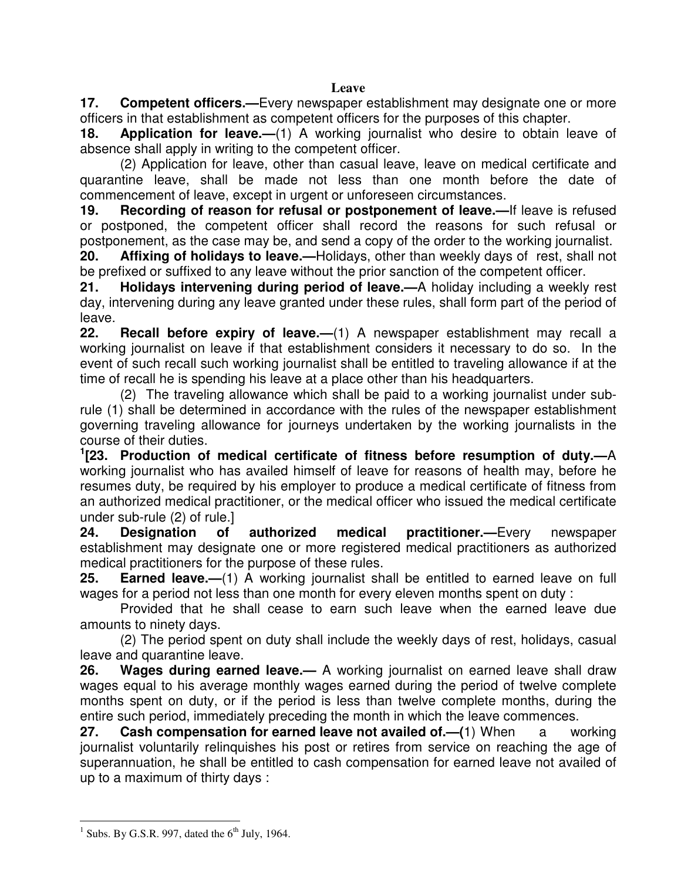**17. Competent officers.—**Every newspaper establishment may designate one or more officers in that establishment as competent officers for the purposes of this chapter.

**18. Application for leave.—**(1) A working journalist who desire to obtain leave of absence shall apply in writing to the competent officer.

(2) Application for leave, other than casual leave, leave on medical certificate and quarantine leave, shall be made not less than one month before the date of commencement of leave, except in urgent or unforeseen circumstances.

**19. Recording of reason for refusal or postponement of leave.—**If leave is refused or postponed, the competent officer shall record the reasons for such refusal or postponement, as the case may be, and send a copy of the order to the working journalist.

**20. Affixing of holidays to leave.—**Holidays, other than weekly days of rest, shall not be prefixed or suffixed to any leave without the prior sanction of the competent officer.

**21. Holidays intervening during period of leave.—**A holiday including a weekly rest day, intervening during any leave granted under these rules, shall form part of the period of leave.

**22. Recall before expiry of leave.—**(1) A newspaper establishment may recall a working journalist on leave if that establishment considers it necessary to do so. In the event of such recall such working journalist shall be entitled to traveling allowance if at the time of recall he is spending his leave at a place other than his headquarters.

(2) The traveling allowance which shall be paid to a working journalist under subrule (1) shall be determined in accordance with the rules of the newspaper establishment governing traveling allowance for journeys undertaken by the working journalists in the course of their duties.

**1 [23. Production of medical certificate of fitness before resumption of duty.—**A working journalist who has availed himself of leave for reasons of health may, before he resumes duty, be required by his employer to produce a medical certificate of fitness from an authorized medical practitioner, or the medical officer who issued the medical certificate under sub-rule (2) of rule.]

**24. Designation of authorized medical practitioner.—**Every newspaper establishment may designate one or more registered medical practitioners as authorized medical practitioners for the purpose of these rules.

**25. Earned leave.—**(1) A working journalist shall be entitled to earned leave on full wages for a period not less than one month for every eleven months spent on duty :

Provided that he shall cease to earn such leave when the earned leave due amounts to ninety days.

 (2) The period spent on duty shall include the weekly days of rest, holidays, casual leave and quarantine leave.

**26. Wages during earned leave.—** A working journalist on earned leave shall draw wages equal to his average monthly wages earned during the period of twelve complete months spent on duty, or if the period is less than twelve complete months, during the entire such period, immediately preceding the month in which the leave commences.

**27. Cash compensation for earned leave not availed of.—(**1) When a working journalist voluntarily relinquishes his post or retires from service on reaching the age of superannuation, he shall be entitled to cash compensation for earned leave not availed of up to a maximum of thirty days :

<sup>&</sup>lt;sup>1</sup> Subs. By G.S.R. 997, dated the  $6<sup>th</sup>$  July, 1964.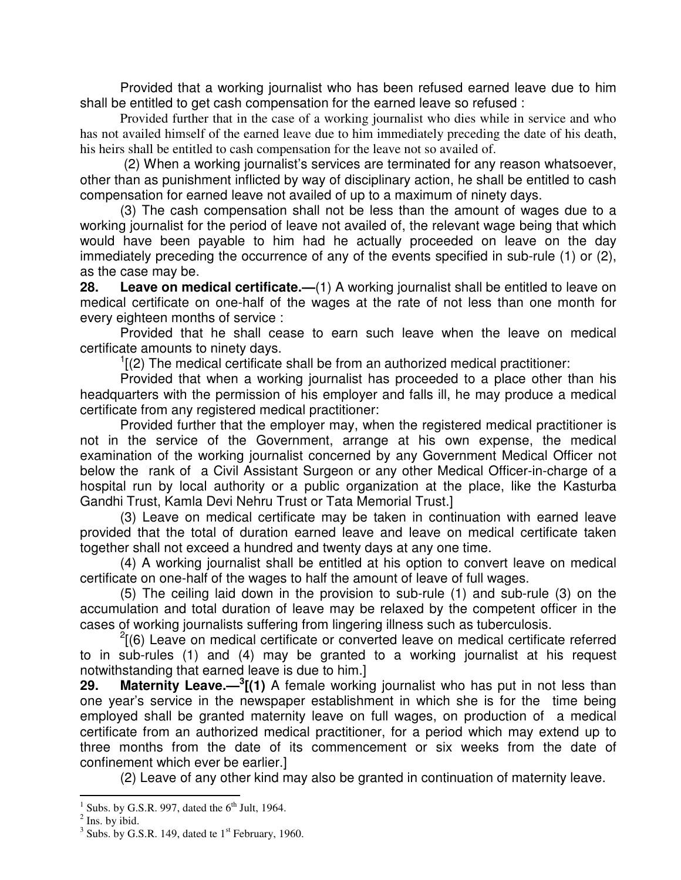Provided that a working journalist who has been refused earned leave due to him shall be entitled to get cash compensation for the earned leave so refused :

 Provided further that in the case of a working journalist who dies while in service and who has not availed himself of the earned leave due to him immediately preceding the date of his death, his heirs shall be entitled to cash compensation for the leave not so availed of.

 (2) When a working journalist's services are terminated for any reason whatsoever, other than as punishment inflicted by way of disciplinary action, he shall be entitled to cash compensation for earned leave not availed of up to a maximum of ninety days.

 (3) The cash compensation shall not be less than the amount of wages due to a working journalist for the period of leave not availed of, the relevant wage being that which would have been payable to him had he actually proceeded on leave on the day immediately preceding the occurrence of any of the events specified in sub-rule (1) or (2), as the case may be.

**28. Leave on medical certificate.—**(1) A working journalist shall be entitled to leave on medical certificate on one-half of the wages at the rate of not less than one month for every eighteen months of service :

Provided that he shall cease to earn such leave when the leave on medical certificate amounts to ninety days.

 $\frac{1}{2}$  (2) The medical certificate shall be from an authorized medical practitioner:

 Provided that when a working journalist has proceeded to a place other than his headquarters with the permission of his employer and falls ill, he may produce a medical certificate from any registered medical practitioner:

 Provided further that the employer may, when the registered medical practitioner is not in the service of the Government, arrange at his own expense, the medical examination of the working journalist concerned by any Government Medical Officer not below the rank of a Civil Assistant Surgeon or any other Medical Officer-in-charge of a hospital run by local authority or a public organization at the place, like the Kasturba Gandhi Trust, Kamla Devi Nehru Trust or Tata Memorial Trust.]

 (3) Leave on medical certificate may be taken in continuation with earned leave provided that the total of duration earned leave and leave on medical certificate taken together shall not exceed a hundred and twenty days at any one time.

 (4) A working journalist shall be entitled at his option to convert leave on medical certificate on one-half of the wages to half the amount of leave of full wages.

 (5) The ceiling laid down in the provision to sub-rule (1) and sub-rule (3) on the accumulation and total duration of leave may be relaxed by the competent officer in the cases of working journalists suffering from lingering illness such as tuberculosis.

 $2(6)$  Leave on medical certificate or converted leave on medical certificate referred to in sub-rules (1) and (4) may be granted to a working journalist at his request notwithstanding that earned leave is due to him.]

**29. Maternity Leave.—<sup>3</sup> [(1)** A female working journalist who has put in not less than one year's service in the newspaper establishment in which she is for the time being employed shall be granted maternity leave on full wages, on production of a medical certificate from an authorized medical practitioner, for a period which may extend up to three months from the date of its commencement or six weeks from the date of confinement which ever be earlier.]

(2) Leave of any other kind may also be granted in continuation of maternity leave.

 $\frac{1}{1}$  Subs. by G.S.R. 997, dated the 6<sup>th</sup> Jult, 1964.

 $<sup>2</sup>$  Ins. by ibid.</sup>

 $3$  Subs. by G.S.R. 149, dated te  $1<sup>st</sup>$  February, 1960.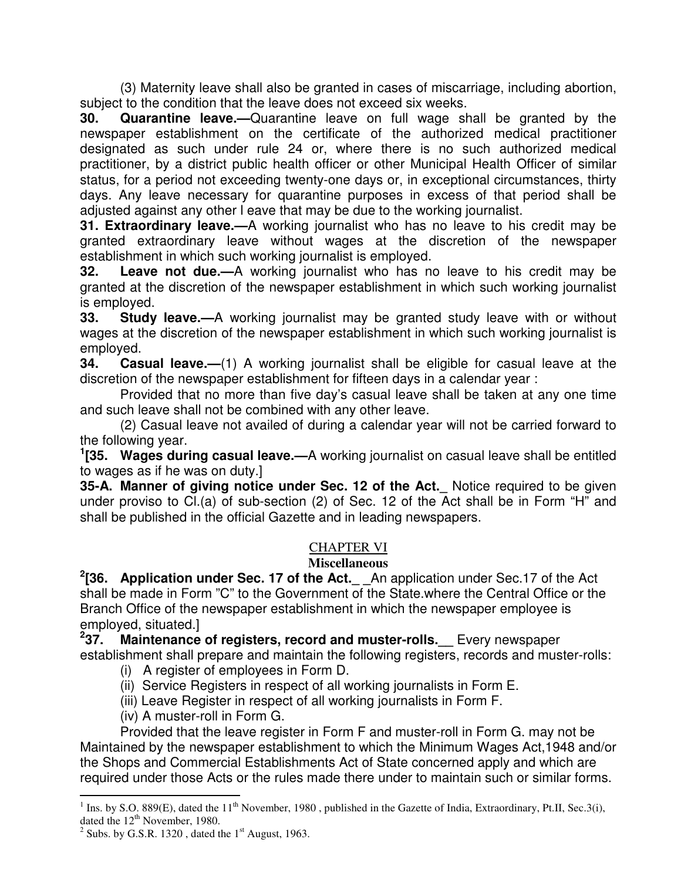(3) Maternity leave shall also be granted in cases of miscarriage, including abortion, subject to the condition that the leave does not exceed six weeks.

**30. Quarantine leave.—**Quarantine leave on full wage shall be granted by the newspaper establishment on the certificate of the authorized medical practitioner designated as such under rule 24 or, where there is no such authorized medical practitioner, by a district public health officer or other Municipal Health Officer of similar status, for a period not exceeding twenty-one days or, in exceptional circumstances, thirty days. Any leave necessary for quarantine purposes in excess of that period shall be adjusted against any other l eave that may be due to the working journalist.

**31. Extraordinary leave.—**A working journalist who has no leave to his credit may be granted extraordinary leave without wages at the discretion of the newspaper establishment in which such working journalist is employed.

**32. Leave not due.—**A working journalist who has no leave to his credit may be granted at the discretion of the newspaper establishment in which such working journalist is employed.

**33. Study leave.—**A working journalist may be granted study leave with or without wages at the discretion of the newspaper establishment in which such working journalist is employed.

**34. Casual leave.—**(1) A working journalist shall be eligible for casual leave at the discretion of the newspaper establishment for fifteen days in a calendar year :

Provided that no more than five day's casual leave shall be taken at any one time and such leave shall not be combined with any other leave.

 (2) Casual leave not availed of during a calendar year will not be carried forward to the following year.

**1 [35. Wages during casual leave.—**A working journalist on casual leave shall be entitled to wages as if he was on duty.]

**35-A. Manner of giving notice under Sec. 12 of the Act.\_** Notice required to be given under proviso to Cl.(a) of sub-section (2) of Sec. 12 of the Act shall be in Form "H" and shall be published in the official Gazette and in leading newspapers.

#### CHAPTER VI

#### **Miscellaneous**

**2 [36. Application under Sec. 17 of the Act.\_ \_**An application under Sec.17 of the Act shall be made in Form "C" to the Government of the State.where the Central Office or the Branch Office of the newspaper establishment in which the newspaper employee is employed, situated.]

**2 Maintenance of registers, record and muster-rolls.** Every newspaper establishment shall prepare and maintain the following registers, records and muster-rolls:

- (i) A register of employees in Form D.
- (ii) Service Registers in respect of all working journalists in Form E.
- (iii) Leave Register in respect of all working journalists in Form F.
- (iv) A muster-roll in Form G.

 Provided that the leave register in Form F and muster-roll in Form G. may not be Maintained by the newspaper establishment to which the Minimum Wages Act,1948 and/or the Shops and Commercial Establishments Act of State concerned apply and which are required under those Acts or the rules made there under to maintain such or similar forms.

<sup>&</sup>lt;sup>1</sup> Ins. by S.O. 889(E), dated the 11<sup>th</sup> November, 1980, published in the Gazette of India, Extraordinary, Pt.II, Sec.3(i), dated the 12<sup>th</sup> November, 1980.

<sup>&</sup>lt;sup>2</sup> Subs. by G.S.R. 1320, dated the  $1<sup>st</sup>$  August, 1963.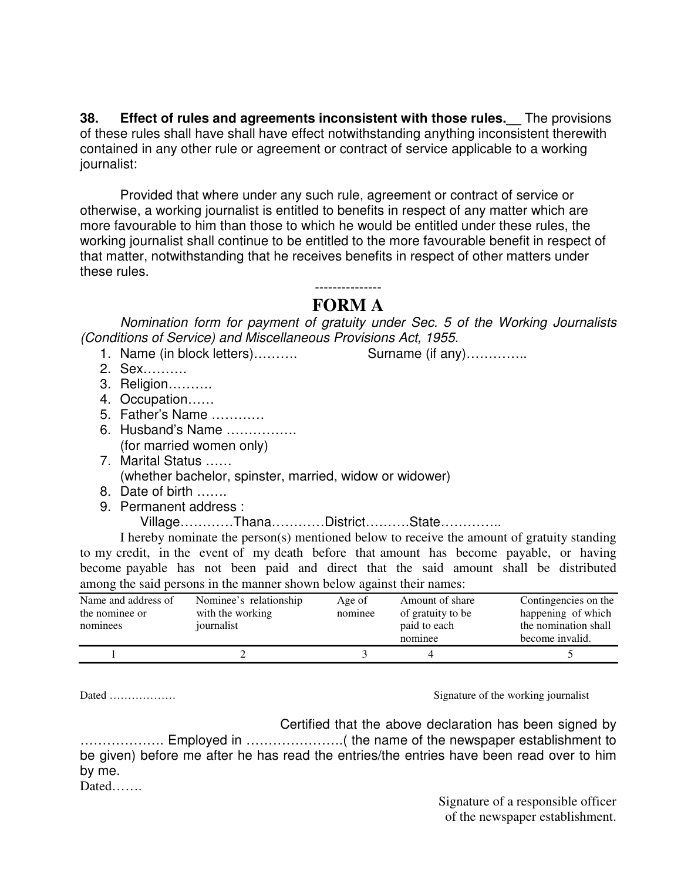**38.** Effect of rules and agreements inconsistent with those rules. The provisions of these rules shall have shall have effect notwithstanding anything inconsistent therewith contained in any other rule or agreement or contract of service applicable to a working journalist:

Provided that where under any such rule, agreement or contract of service or otherwise, a working journalist is entitled to benefits in respect of any matter which are more favourable to him than those to which he would be entitled under these rules, the working journalist shall continue to be entitled to the more favourable benefit in respect of that matter, notwithstanding that he receives benefits in respect of other matters under these rules.

> --------------- **FORM A**

Nomination form for payment of gratuity under Sec. 5 of the Working Journalists (Conditions of Service) and Miscellaneous Provisions Act, 1955.

- 1. Name (in block letters)……….. Surname (if any)………….
- 2. Sex……….
- 3. Religion……….
- 4. Occupation……
- 5. Father's Name …………
- 6. Husband's Name ……………. (for married women only)
- 7. Marital Status …… (whether bachelor, spinster, married, widow or widower)
- 8. Date of birth …….
- 9. Permanent address :

Village…………Thana…………District……….State…………..

 I hereby nominate the person(s) mentioned below to receive the amount of gratuity standing to my credit, in the event of my death before that amount has become payable, or having become payable has not been paid and direct that the said amount shall be distributed among the said persons in the manner shown below against their names:

| Name and address of<br>the nominee or<br>nominees | Nominee's relationship<br>with the working<br>journalist | Age of<br>nominee | Amount of share<br>of gratuity to be<br>paid to each | Contingencies on the<br>happening of which<br>the nomination shall |
|---------------------------------------------------|----------------------------------------------------------|-------------------|------------------------------------------------------|--------------------------------------------------------------------|
|                                                   |                                                          |                   | nominee                                              | become invalid.                                                    |
|                                                   |                                                          |                   |                                                      |                                                                    |

Dated ……………… Signature of the working journalist

 Certified that the above declaration has been signed by ………………. Employed in ………………….( the name of the newspaper establishment to be given) before me after he has read the entries/the entries have been read over to him by me.

Dated……

Signature of a responsible officer of the newspaper establishment.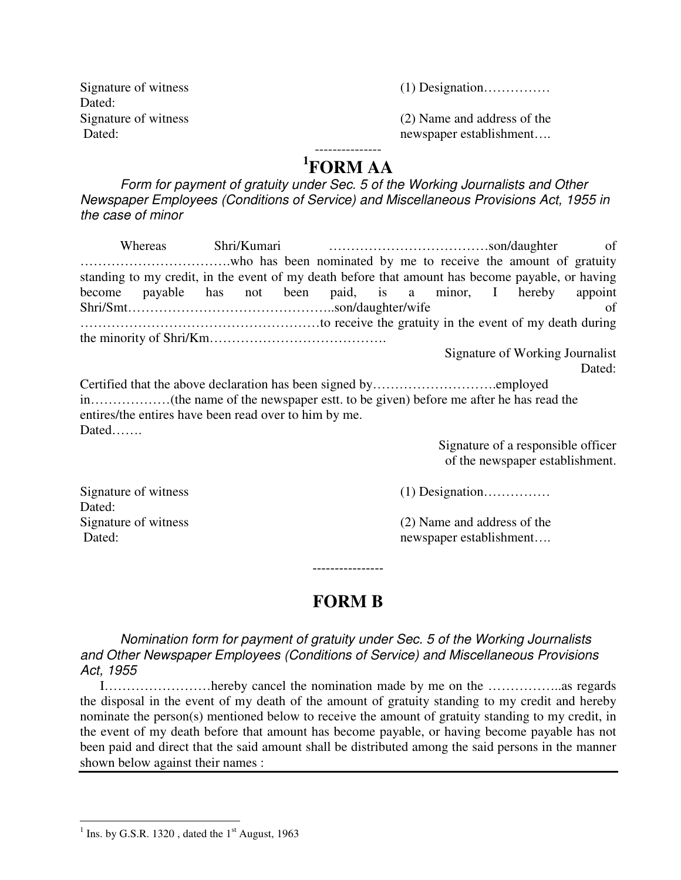| Signature of witness |
|----------------------|
| Dated:               |
| Signature of witness |
| Dated:               |

 $(1)$  Designation………………

 $(2)$  Name and address of the newspaper establishment....

#### --------------- **1 FORM AA**

Form for payment of gratuity under Sec. 5 of the Working Journalists and Other Newspaper Employees (Conditions of Service) and Miscellaneous Provisions Act, 1955 in the case of minor

| Whereas                                                                                          |  |  |  |  |                                 |
|--------------------------------------------------------------------------------------------------|--|--|--|--|---------------------------------|
|                                                                                                  |  |  |  |  |                                 |
| standing to my credit, in the event of my death before that amount has become payable, or having |  |  |  |  |                                 |
| become payable has not been paid, is a minor, I hereby appoint                                   |  |  |  |  |                                 |
|                                                                                                  |  |  |  |  | of                              |
|                                                                                                  |  |  |  |  |                                 |
|                                                                                                  |  |  |  |  |                                 |
|                                                                                                  |  |  |  |  | Signature of Working Journalist |
|                                                                                                  |  |  |  |  | Dated:                          |
|                                                                                                  |  |  |  |  |                                 |

in………………(the name of the newspaper estt. to be given) before me after he has read the entires/the entires have been read over to him by me. Dated…….

> Signature of a responsible officer of the newspaper establishment.

Dated:

Signature of witness (1) Designation……………

Signature of witness (2) Name and address of the Dated: newspaper establishment....

### **FORM B**

----------------

Nomination form for payment of gratuity under Sec. 5 of the Working Journalists and Other Newspaper Employees (Conditions of Service) and Miscellaneous Provisions Act, 1955

 I……………………hereby cancel the nomination made by me on the ……………..as regards the disposal in the event of my death of the amount of gratuity standing to my credit and hereby nominate the person(s) mentioned below to receive the amount of gratuity standing to my credit, in the event of my death before that amount has become payable, or having become payable has not been paid and direct that the said amount shall be distributed among the said persons in the manner shown below against their names :

 $\frac{1}{1}$  Ins. by G.S.R. 1320, dated the 1<sup>st</sup> August, 1963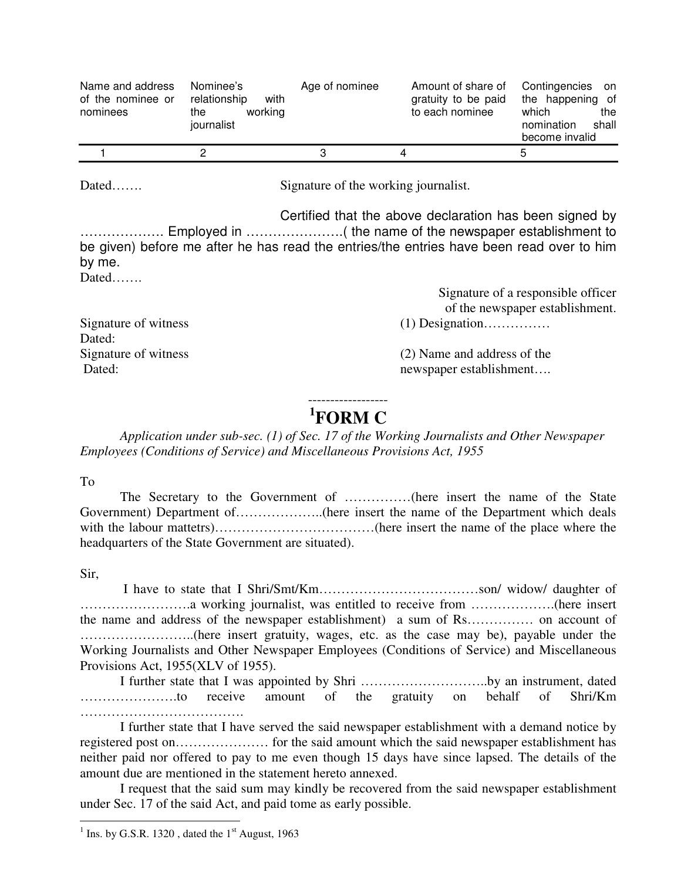| Name and address<br>of the nominee or<br>nominees | Nominee's<br>relationship<br>with<br>working<br>the<br>journalist | Age of nominee | Amount of share of<br>gratuity to be paid<br>to each nominee | Contingencies on<br>the happening of<br>which<br>the<br>shall<br>nomination<br>become invalid |
|---------------------------------------------------|-------------------------------------------------------------------|----------------|--------------------------------------------------------------|-----------------------------------------------------------------------------------------------|
|                                                   |                                                                   |                |                                                              |                                                                                               |
|                                                   |                                                                   |                |                                                              |                                                                                               |

Dated……. Signature of the working journalist.

 Certified that the above declaration has been signed by ………………. Employed in ………………….( the name of the newspaper establishment to be given) before me after he has read the entries/the entries have been read over to him by me. Dated……

|                      | Signature of a responsible officer |
|----------------------|------------------------------------|
|                      | of the newspaper establishment.    |
| Signature of witness | $(1)$ Designation                  |
| Dated:               |                                    |
| Signature of witness | (2) Name and address of the        |
| Dated:               | newspaper establishment            |

#### ------------------ **1 FORM C**

 *Application under sub-sec. (1) of Sec. 17 of the Working Journalists and Other Newspaper Employees (Conditions of Service) and Miscellaneous Provisions Act, 1955* 

To

 The Secretary to the Government of ……………(here insert the name of the State Government) Department of………………..(here insert the name of the Department which deals with the labour mattetrs)……………………………(here insert the name of the place where the headquarters of the State Government are situated).

Sir,

 I have to state that I Shri/Smt/Km………………………………son/ widow/ daughter of …………………….a working journalist, was entitled to receive from ……………….(here insert the name and address of the newspaper establishment) a sum of Rs…………… on account of ……………………..(here insert gratuity, wages, etc. as the case may be), payable under the Working Journalists and Other Newspaper Employees (Conditions of Service) and Miscellaneous Provisions Act, 1955(XLV of 1955).

I further state that I was appointed by Shri ………………………..by an instrument, dated ...........................to receive amount of the gratuity on behalf of Shri/Km ……………………………………

I further state that I have served the said newspaper establishment with a demand notice by registered post on………………… for the said amount which the said newspaper establishment has neither paid nor offered to pay to me even though 15 days have since lapsed. The details of the amount due are mentioned in the statement hereto annexed.

I request that the said sum may kindly be recovered from the said newspaper establishment under Sec. 17 of the said Act, and paid tome as early possible.

 $\frac{1}{1}$  Ins. by G.S.R. 1320, dated the 1<sup>st</sup> August, 1963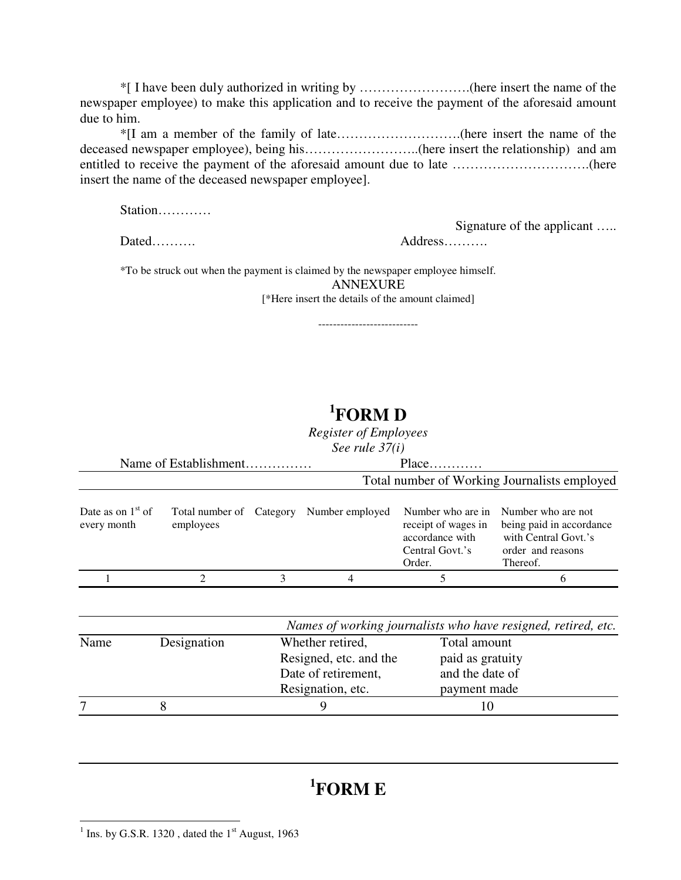\*[ I have been duly authorized in writing by …………………….(here insert the name of the newspaper employee) to make this application and to receive the payment of the aforesaid amount due to him.

\*[I am a member of the family of late……………………….(here insert the name of the deceased newspaper employee), being his……………………..(here insert the relationship) and am entitled to receive the payment of the aforesaid amount due to late ………………………….(here insert the name of the deceased newspaper employee].

Station…………

Dated………. Address……….

Signature of the applicant …..

\*To be struck out when the payment is claimed by the newspaper employee himself. ANNEXURE [\*Here insert the details of the amount claimed]

---------------------------

### **1 FORM D**

*Register of Employees* 

*See rule 37(i)* 

|                                    | Name of Establishment | Place |                                          |                                                                                          |                                                                                                         |
|------------------------------------|-----------------------|-------|------------------------------------------|------------------------------------------------------------------------------------------|---------------------------------------------------------------------------------------------------------|
|                                    |                       |       |                                          |                                                                                          | Total number of Working Journalists employed                                                            |
| Date as on $1st$ of<br>every month | employees             |       | Total number of Category Number employed | Number who are in<br>receipt of wages in<br>accordance with<br>Central Govt.'s<br>Order. | Number who are not<br>being paid in accordance<br>with Central Govt.'s<br>order and reasons<br>Thereof. |
|                                    | 2                     | 3     | 4                                        | 5                                                                                        | 6                                                                                                       |
|                                    |                       |       |                                          |                                                                                          | Names of working journalists who have resigned, retired, etc.                                           |
| Name                               | Designation           |       | Whether retired,                         | Total amount                                                                             |                                                                                                         |
|                                    |                       |       | Resigned, etc. and the                   | paid as gratuity                                                                         |                                                                                                         |
|                                    |                       |       | Date of retirement,                      | and the date of                                                                          |                                                                                                         |
|                                    |                       |       | Resignation, etc.                        | payment made                                                                             |                                                                                                         |
| 7                                  | 8                     |       | 9                                        | 10                                                                                       |                                                                                                         |

## **1 FORM E**

 $\frac{1}{1}$  Ins. by G.S.R. 1320, dated the 1<sup>st</sup> August, 1963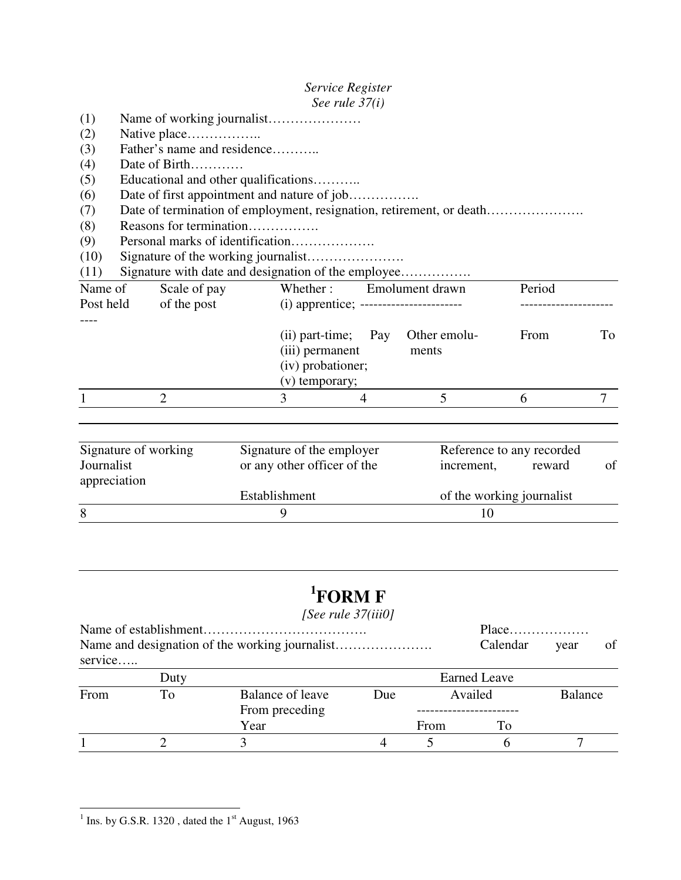|               |         |                                                     |                                         | Service Register |                       |        |         |
|---------------|---------|-----------------------------------------------------|-----------------------------------------|------------------|-----------------------|--------|---------|
|               |         |                                                     |                                         | See rule $37(i)$ |                       |        |         |
| (1)           |         |                                                     |                                         |                  |                       |        |         |
| (2)           |         | Native place                                        |                                         |                  |                       |        |         |
| (3)           |         | Father's name and residence                         |                                         |                  |                       |        |         |
| (4)           |         | Date of Birth                                       |                                         |                  |                       |        |         |
| (5)           |         | Educational and other qualifications                |                                         |                  |                       |        |         |
| (6)           |         | Date of first appointment and nature of job         |                                         |                  |                       |        |         |
| (7)           |         |                                                     |                                         |                  |                       |        |         |
| (8)           |         | Reasons for termination                             |                                         |                  |                       |        |         |
| (9)           |         |                                                     |                                         |                  |                       |        |         |
| (10)          |         |                                                     |                                         |                  |                       |        |         |
| (11)          |         | Signature with date and designation of the employee |                                         |                  |                       |        |         |
|               | Name of | Scale of pay                                        | Whether:                                |                  | Emolument drawn       | Period |         |
| Post held     |         | of the post                                         | (i) apprentice; ----------------------- |                  |                       |        |         |
|               |         |                                                     |                                         |                  |                       |        |         |
|               |         |                                                     | $(ii)$ part-time;                       | Pay              | Other emolu-          | From   | To      |
|               |         |                                                     | (iii) permanent                         |                  | ments                 |        |         |
|               |         |                                                     | (iv) probationer;                       |                  |                       |        |         |
|               |         |                                                     | (v) temporary;                          |                  |                       |        |         |
|               |         | $\mathcal{D}_{\mathcal{A}}$                         | 3                                       | $\overline{4}$   | 5                     | 6      | 7       |
|               |         |                                                     |                                         |                  |                       |        |         |
|               |         |                                                     |                                         |                  |                       |        |         |
| $\sim$ $\sim$ |         | $\mathcal{C}$ at $\mathcal{C}$<br>$\sim$ $\sim$     | $\mathcal{C}$ $\mathcal{A}$             |                  | $\mathbf{r}$ $\alpha$ |        | $1 - 1$ |

| Signature of working | Signature of the employer   | Reference to any recorded |    |
|----------------------|-----------------------------|---------------------------|----|
| Journalist           | or any other officer of the | reward<br>increment,      | of |
| appreciation         |                             |                           |    |
|                      | Establishment               | of the working journalist |    |
| 8                    |                             |                           |    |
|                      |                             |                           |    |

## **1 FORM F**

#### *[See rule 37(iii0]*

|                    |      |                  | Calendar | vear | of                  |                |  |
|--------------------|------|------------------|----------|------|---------------------|----------------|--|
| $s$ ervice $\dots$ |      |                  |          |      |                     |                |  |
|                    | Duty |                  |          |      | <b>Earned Leave</b> |                |  |
| From               | Tо   | Balance of leave | Due      |      | Availed             | <b>Balance</b> |  |
|                    |      | From preceding   |          |      |                     |                |  |
|                    |      | Year             |          | From | Tо                  |                |  |
|                    |      |                  |          |      |                     |                |  |

 $\frac{1}{1}$  Ins. by G.S.R. 1320, dated the 1<sup>st</sup> August, 1963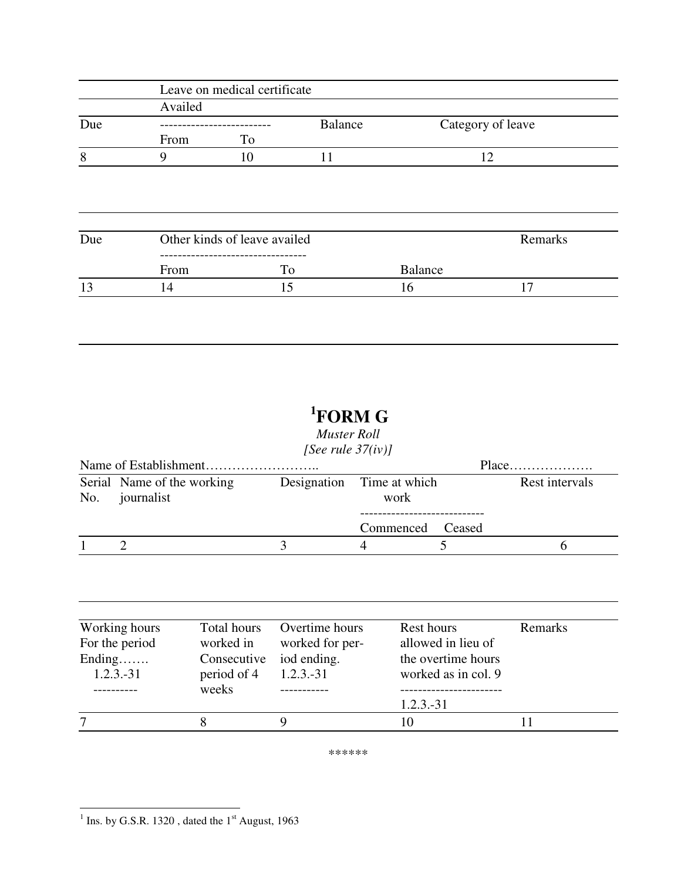|     |         | Leave on medical certificate |                |                |                   |
|-----|---------|------------------------------|----------------|----------------|-------------------|
|     | Availed |                              |                |                |                   |
| Due |         |                              | <b>Balance</b> |                | Category of leave |
|     | From    | To                           |                |                |                   |
| 8   | 9       | 10                           | 11             |                | 12                |
|     |         |                              |                |                |                   |
|     |         |                              |                |                |                   |
|     |         |                              |                |                |                   |
| Due |         | Other kinds of leave availed |                |                | Remarks           |
|     | From    | To                           |                | <b>Balance</b> |                   |

# **<sup>1</sup>FORM G**

*Muster Roll [See rule 37(iv)]* 

|                                              | Place                             |  |                |
|----------------------------------------------|-----------------------------------|--|----------------|
| Serial Name of the working<br>No. journalist | Designation Time at which<br>work |  | Rest intervals |
|                                              | Commenced Ceased                  |  |                |
|                                              |                                   |  |                |

| Working hours  | Total hours | Overtime hours  | Rest hours          | Remarks |
|----------------|-------------|-----------------|---------------------|---------|
| For the period | worked in   | worked for per- | allowed in lieu of  |         |
| Ending         | Consecutive | iod ending.     | the overtime hours  |         |
| $1.2.3.-31$    | period of 4 | $1.2.3.-31$     | worked as in col. 9 |         |
|                | weeks       |                 |                     |         |
|                |             |                 | $1.2.3.-31$         |         |
|                |             |                 |                     |         |

\*\*\*\*\*\*

 $\frac{1}{1}$  Ins. by G.S.R. 1320, dated the 1<sup>st</sup> August, 1963